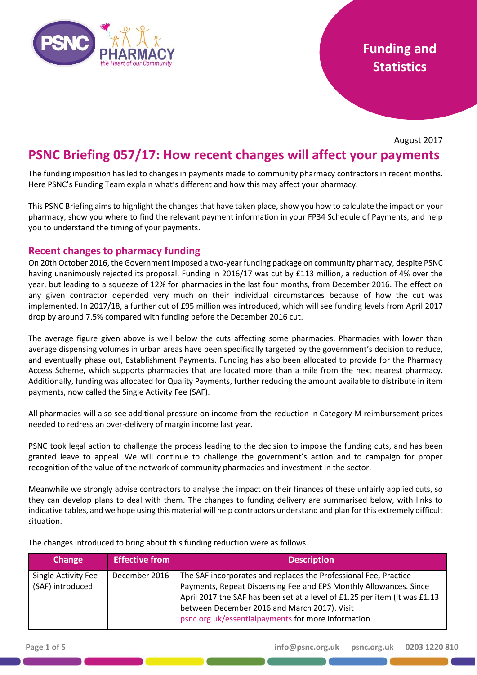

# **Funding and Statistics**

August 2017

# **PSNC Briefing 057/17: How recent changes will affect your payments**

The funding imposition has led to changes in payments made to community pharmacy contractors in recent months. Here PSNC's Funding Team explain what's different and how this may affect your pharmacy.

This PSNC Briefing aims to highlight the changes that have taken place, show you how to calculate the impact on your pharmacy, show you where to find the relevant payment information in your FP34 Schedule of Payments, and help you to understand the timing of your payments.

#### **Recent changes to pharmacy funding**

On 20th October 2016, the Government imposed a two-year funding package on community pharmacy, despite PSNC having unanimously rejected its proposal. Funding in 2016/17 was cut by £113 million, a reduction of 4% over the year, but leading to a squeeze of 12% for pharmacies in the last four months, from December 2016. The effect on any given contractor depended very much on their individual circumstances because of how the cut was implemented. In 2017/18, a further cut of £95 million was introduced, which will see funding levels from April 2017 drop by around 7.5% compared with funding before the December 2016 cut.

The average figure given above is well below the cuts affecting some pharmacies. Pharmacies with lower than average dispensing volumes in urban areas have been specifically targeted by the government's decision to reduce, and eventually phase out, Establishment Payments. Funding has also been allocated to provide for the Pharmacy Access Scheme, which supports pharmacies that are located more than a mile from the next nearest pharmacy. Additionally, funding was allocated for Quality Payments, further reducing the amount available to distribute in item payments, now called the Single Activity Fee (SAF).

All pharmacies will also see additional pressure on income from the reduction in Category M reimbursement prices needed to redress an over-delivery of margin income last year.

PSNC took legal action to challenge the process leading to the decision to impose the funding cuts, and has been granted leave to appeal. We will continue to challenge the government's action and to campaign for proper recognition of the value of the network of community pharmacies and investment in the sector.

Meanwhile we strongly advise contractors to analyse the impact on their finances of these unfairly applied cuts, so they can develop plans to deal with them. The changes to funding delivery are summarised below, with links to indicative tables, and we hope using this material will help contractors understand and plan for this extremely difficult situation.

The changes introduced to bring about this funding reduction were as follows.

| Change                                  | Effective from | <b>Description</b>                                                                                                                                                                                                                                                                                                         |
|-----------------------------------------|----------------|----------------------------------------------------------------------------------------------------------------------------------------------------------------------------------------------------------------------------------------------------------------------------------------------------------------------------|
| Single Activity Fee<br>(SAF) introduced | December 2016  | The SAF incorporates and replaces the Professional Fee, Practice<br>Payments, Repeat Dispensing Fee and EPS Monthly Allowances. Since<br>April 2017 the SAF has been set at a level of £1.25 per item (it was £1.13<br>between December 2016 and March 2017). Visit<br>psnc.org.uk/essentialpayments for more information. |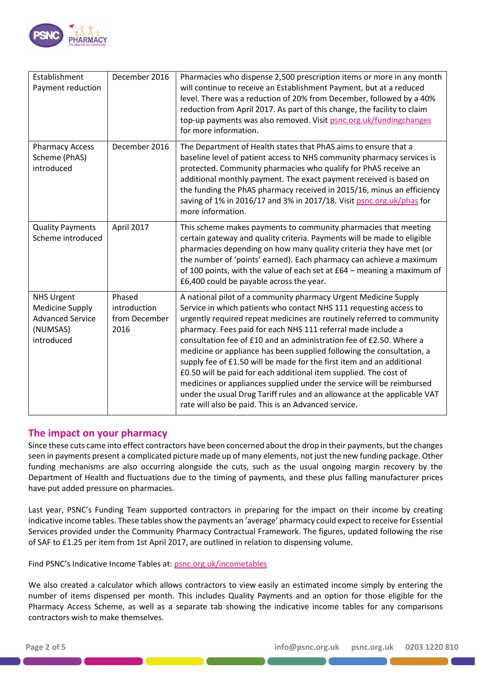

| Establishment<br>Payment reduction                                                               | December 2016                                   | Pharmacies who dispense 2,500 prescription items or more in any month<br>will continue to receive an Establishment Payment, but at a reduced<br>level. There was a reduction of 20% from December, followed by a 40%<br>reduction from April 2017. As part of this change, the facility to claim<br>top-up payments was also removed. Visit psnc.org.uk/fundingchanges<br>for more information.                                                                                                                                                                                                                                                                                                                                                                                            |
|--------------------------------------------------------------------------------------------------|-------------------------------------------------|--------------------------------------------------------------------------------------------------------------------------------------------------------------------------------------------------------------------------------------------------------------------------------------------------------------------------------------------------------------------------------------------------------------------------------------------------------------------------------------------------------------------------------------------------------------------------------------------------------------------------------------------------------------------------------------------------------------------------------------------------------------------------------------------|
| <b>Pharmacy Access</b><br>Scheme (PhAS)<br>introduced                                            | December 2016                                   | The Department of Health states that PhAS aims to ensure that a<br>baseline level of patient access to NHS community pharmacy services is<br>protected. Community pharmacies who qualify for PhAS receive an<br>additional monthly payment. The exact payment received is based on<br>the funding the PhAS pharmacy received in 2015/16, minus an efficiency<br>saving of 1% in 2016/17 and 3% in 2017/18. Visit psnc.org.uk/phas for<br>more information.                                                                                                                                                                                                                                                                                                                                 |
| <b>Quality Payments</b><br>Scheme introduced                                                     | April 2017                                      | This scheme makes payments to community pharmacies that meeting<br>certain gateway and quality criteria. Payments will be made to eligible<br>pharmacies depending on how many quality criteria they have met (or<br>the number of 'points' earned). Each pharmacy can achieve a maximum<br>of 100 points, with the value of each set at £64 - meaning a maximum of<br>£6,400 could be payable across the year.                                                                                                                                                                                                                                                                                                                                                                            |
| <b>NHS Urgent</b><br><b>Medicine Supply</b><br><b>Advanced Service</b><br>(NUMSAS)<br>introduced | Phased<br>introduction<br>from December<br>2016 | A national pilot of a community pharmacy Urgent Medicine Supply<br>Service in which patients who contact NHS 111 requesting access to<br>urgently required repeat medicines are routinely referred to community<br>pharmacy. Fees paid for each NHS 111 referral made include a<br>consultation fee of £10 and an administration fee of £2.50. Where a<br>medicine or appliance has been supplied following the consultation, a<br>supply fee of £1.50 will be made for the first item and an additional<br>£0.50 will be paid for each additional item supplied. The cost of<br>medicines or appliances supplied under the service will be reimbursed<br>under the usual Drug Tariff rules and an allowance at the applicable VAT<br>rate will also be paid. This is an Advanced service. |

#### **The impact on your pharmacy**

Since these cuts came into effect contractors have been concerned about the drop in their payments, but the changes seen in payments present a complicated picture made up of many elements, not just the new funding package. Other funding mechanisms are also occurring alongside the cuts, such as the usual ongoing margin recovery by the Department of Health and fluctuations due to the timing of payments, and these plus falling manufacturer prices have put added pressure on pharmacies.

Last year, PSNC's Funding Team supported contractors in preparing for the impact on their income by creating indicative income tables. These tables show the payments an 'average' pharmacy could expect to receive for Essential Services provided under the Community Pharmacy Contractual Framework. The figures, updated following the rise of SAF to £1.25 per item from 1st April 2017, are outlined in relation to dispensing volume.

Find PSNC's Indicative Income Tables at: [psnc.org.uk/incometables](http://psnc.org.uk/incometables)

We also created a calculator which allows contractors to view easily an estimated income simply by entering the number of items dispensed per month. This includes Quality Payments and an option for those eligible for the Pharmacy Access Scheme, as well as a separate tab showing the indicative income tables for any comparisons contractors wish to make themselves.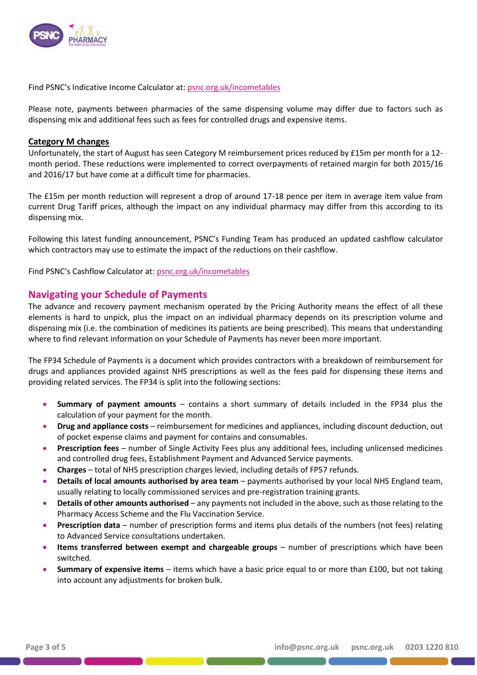

Find PSNC's Indicative Income Calculator at: [psnc.org.uk/incometables](http://psnc.org.uk/incometables)

Please note, payments between pharmacies of the same dispensing volume may differ due to factors such as dispensing mix and additional fees such as fees for controlled drugs and expensive items.

#### **Category M changes**

Unfortunately, the start of August has seen Category M reimbursement prices reduced by £15m per month for a 12 month period. These reductions were implemented to correct overpayments of retained margin for both 2015/16 and 2016/17 but have come at a difficult time for pharmacies.

The £15m per month reduction will represent a drop of around 17-18 pence per item in average item value from current Drug Tariff prices, although the impact on any individual pharmacy may differ from this according to its dispensing mix.

Following this latest funding announcement, PSNC's Funding Team has produced an updated cashflow calculator which contractors may use to estimate the impact of the reductions on their cashflow.

Find PSNC's Cashflow Calculator at: [psnc.org.uk/incometables](http://psnc.org.uk/incometables)

#### **Navigating your Schedule of Payments**

The advance and recovery payment mechanism operated by the Pricing Authority means the effect of all these elements is hard to unpick, plus the impact on an individual pharmacy depends on its prescription volume and dispensing mix (i.e. the combination of medicines its patients are being prescribed). This means that understanding where to find relevant information on your Schedule of Payments has never been more important.

The FP34 Schedule of Payments is a document which provides contractors with a breakdown of reimbursement for drugs and appliances provided against NHS prescriptions as well as the fees paid for dispensing these items and providing related services. The FP34 is split into the following sections:

- **Summary of payment amounts** contains a short summary of details included in the FP34 plus the calculation of your payment for the month.
- **Drug and appliance costs** reimbursement for medicines and appliances, including discount deduction, out of pocket expense claims and payment for contains and consumables.
- **Prescription fees** number of Single Activity Fees plus any additional fees, including unlicensed medicines and controlled drug fees, Establishment Payment and Advanced Service payments.
- **Charges** total of NHS prescription charges levied, including details of FP57 refunds.
- **Details of local amounts authorised by area team** payments authorised by your local NHS England team, usually relating to locally commissioned services and pre-registration training grants.
- **Details of other amounts authorised** any payments not included in the above, such as those relating to the Pharmacy Access Scheme and the Flu Vaccination Service.
- **Prescription data** number of prescription forms and items plus details of the numbers (not fees) relating to Advanced Service consultations undertaken.
- **Items transferred between exempt and chargeable groups** number of prescriptions which have been switched.
- **Summary of expensive items** items which have a basic price equal to or more than £100, but not taking into account any adjustments for broken bulk.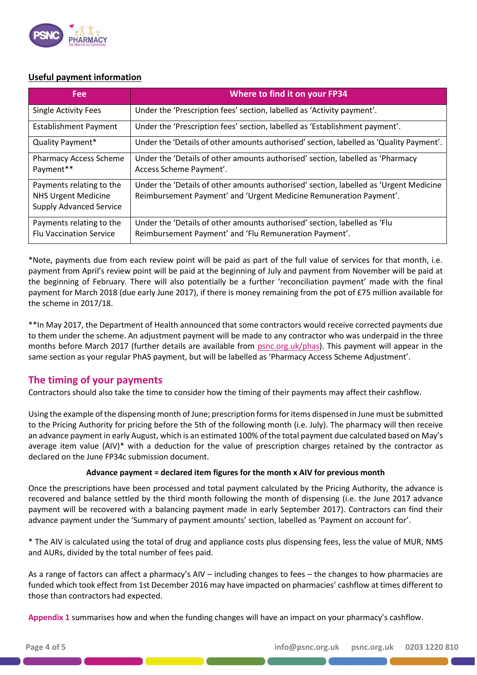

#### **Useful payment information**

| Fee                                                                                      | Where to find it on your FP34                                                                                                                               |
|------------------------------------------------------------------------------------------|-------------------------------------------------------------------------------------------------------------------------------------------------------------|
| <b>Single Activity Fees</b>                                                              | Under the 'Prescription fees' section, labelled as 'Activity payment'.                                                                                      |
| <b>Establishment Payment</b>                                                             | Under the 'Prescription fees' section, labelled as 'Establishment payment'.                                                                                 |
| Quality Payment*                                                                         | Under the 'Details of other amounts authorised' section, labelled as 'Quality Payment'.                                                                     |
| <b>Pharmacy Access Scheme</b><br>Payment**                                               | Under the 'Details of other amounts authorised' section, labelled as 'Pharmacy<br>Access Scheme Payment'.                                                   |
| Payments relating to the<br><b>NHS Urgent Medicine</b><br><b>Supply Advanced Service</b> | Under the 'Details of other amounts authorised' section, labelled as 'Urgent Medicine<br>Reimbursement Payment' and 'Urgent Medicine Remuneration Payment'. |
| Payments relating to the<br><b>Flu Vaccination Service</b>                               | Under the 'Details of other amounts authorised' section, labelled as 'Flu<br>Reimbursement Payment' and 'Flu Remuneration Payment'.                         |

\*Note, payments due from each review point will be paid as part of the full value of services for that month, i.e. payment from April's review point will be paid at the beginning of July and payment from November will be paid at the beginning of February. There will also potentially be a further 'reconciliation payment' made with the final payment for March 2018 (due early June 2017), if there is money remaining from the pot of £75 million available for the scheme in 2017/18.

\*\*In May 2017, the Department of Health announced that some contractors would receive corrected payments due to them under the scheme. An adjustment payment will be made to any contractor who was underpaid in the three months before March 2017 (further details are available from [psnc.org.uk/phas\)](http://psnc.org.uk/phas). This payment will appear in the same section as your regular PhAS payment, but will be labelled as 'Pharmacy Access Scheme Adjustment'.

### **The timing of your payments**

Contractors should also take the time to consider how the timing of their payments may affect their cashflow.

Using the example of the dispensing month of June; prescription forms for items dispensed in June must be submitted to the Pricing Authority for pricing before the 5th of the following month (i.e. July). The pharmacy will then receive an advance payment in early August, which is an estimated 100% of the total payment due calculated based on May's average item value (AIV)\* with a deduction for the value of prescription charges retained by the contractor as declared on the June FP34c submission document.

#### **Advance payment = declared item figures for the month x AIV for previous month**

Once the prescriptions have been processed and total payment calculated by the Pricing Authority, the advance is recovered and balance settled by the third month following the month of dispensing (i.e. the June 2017 advance payment will be recovered with a balancing payment made in early September 2017). Contractors can find their advance payment under the 'Summary of payment amounts' section, labelled as 'Payment on account for'.

\* The AIV is calculated using the total of drug and appliance costs plus dispensing fees, less the value of MUR, NMS and AURs, divided by the total number of fees paid.

As a range of factors can affect a pharmacy's AIV – including changes to fees – the changes to how pharmacies are funded which took effect from 1st December 2016 may have impacted on pharmacies' cashflow at times different to those than contractors had expected.

**Appendix 1** summarises how and when the funding changes will have an impact on your pharmacy's cashflow.